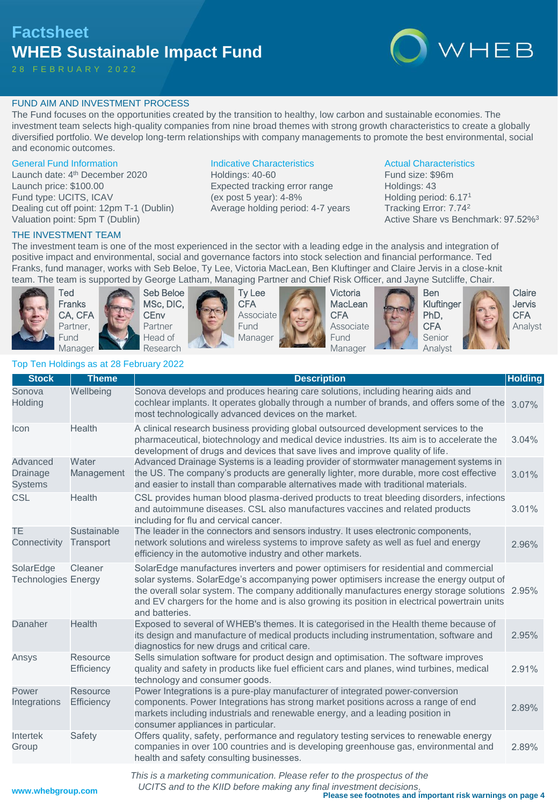## **Factsheet WHEB Sustainable Impact Fund**

2 8 F E B R U A R Y 2 0 2 2

# WHEB

### FUND AIM AND INVESTMENT PROCESS

The Fund focuses on the opportunities created by the transition to healthy, low carbon and sustainable economies. The investment team selects high-quality companies from nine broad themes with strong growth characteristics to create a globally diversified portfolio. We develop long-term relationships with company managements to promote the best environmental, social and economic outcomes.

### General Fund Information

Launch date: 4<sup>th</sup> December 2020 Launch price: \$100.00 Fund type: UCITS, ICAV Dealing cut off point: 12pm T-1 (Dublin) Valuation point: 5pm T (Dublin)

### Indicative Characteristics

Holdings: 40-60 Expected tracking error range (ex post 5 year): 4-8% Average holding period: 4-7 years

### Actual Characteristics

Fund size: \$96m Holdings: 43 Holding period: 6.17<sup>1</sup> Tracking Error: 7.74<sup>2</sup> Active Share vs Benchmark: 97.52%<sup>3</sup>

### THE INVESTMENT TEAM

The investment team is one of the most experienced in the sector with a leading edge in the analysis and integration of positive impact and environmental, social and governance factors into stock selection and financial performance. Ted Franks, fund manager, works with Seb Beloe, Ty Lee, Victoria MacLean, Ben Kluftinger and Claire Jervis in a close-knit team. The team is supported by George Latham, Managing Partner and Chief Risk Officer, and Jayne Sutcliffe, Chair.



Ted Franks CA, CFA Partner, Fund Manager

**CEnv** Partner



Ty Lee **CFA** Associate Fund Manager



Victoria **MacLean CFA** Associate Fund Manager





Claire Jervis CFA Analyst

### Top Ten Holdings as at 28 February 2022

| <b>Stock</b>                            | <b>Theme</b>                  | <b>Description</b>                                                                                                                                                                                                                                                                                                                                                                                 | <b>Holding</b> |
|-----------------------------------------|-------------------------------|----------------------------------------------------------------------------------------------------------------------------------------------------------------------------------------------------------------------------------------------------------------------------------------------------------------------------------------------------------------------------------------------------|----------------|
| Sonova<br>Holding                       | Wellbeing                     | Sonova develops and produces hearing care solutions, including hearing aids and<br>cochlear implants. It operates globally through a number of brands, and offers some of the<br>most technologically advanced devices on the market.                                                                                                                                                              | 3.07%          |
| Icon                                    | Health                        | A clinical research business providing global outsourced development services to the<br>pharmaceutical, biotechnology and medical device industries. Its aim is to accelerate the<br>development of drugs and devices that save lives and improve quality of life.                                                                                                                                 | 3.04%          |
| Advanced<br>Drainage<br><b>Systems</b>  | Water<br>Management           | Advanced Drainage Systems is a leading provider of stormwater management systems in<br>the US. The company's products are generally lighter, more durable, more cost effective<br>and easier to install than comparable alternatives made with traditional materials.                                                                                                                              | 3.01%          |
| <b>CSL</b>                              | <b>Health</b>                 | CSL provides human blood plasma-derived products to treat bleeding disorders, infections<br>and autoimmune diseases. CSL also manufactures vaccines and related products<br>including for flu and cervical cancer.                                                                                                                                                                                 | 3.01%          |
| TE.<br>Connectivity                     | Sustainable<br>Transport      | The leader in the connectors and sensors industry. It uses electronic components,<br>network solutions and wireless systems to improve safety as well as fuel and energy<br>efficiency in the automotive industry and other markets.                                                                                                                                                               | 2.96%          |
| SolarEdge<br><b>Technologies Energy</b> | Cleaner                       | SolarEdge manufactures inverters and power optimisers for residential and commercial<br>solar systems. SolarEdge's accompanying power optimisers increase the energy output of<br>the overall solar system. The company additionally manufactures energy storage solutions 2.95%<br>and EV chargers for the home and is also growing its position in electrical powertrain units<br>and batteries. |                |
| Danaher                                 | <b>Health</b>                 | Exposed to several of WHEB's themes. It is categorised in the Health theme because of<br>its design and manufacture of medical products including instrumentation, software and<br>diagnostics for new drugs and critical care.                                                                                                                                                                    | 2.95%          |
| Ansys                                   | Resource<br>Efficiency        | Sells simulation software for product design and optimisation. The software improves<br>quality and safety in products like fuel efficient cars and planes, wind turbines, medical<br>technology and consumer goods.                                                                                                                                                                               | 2.91%          |
| Power<br>Integrations                   | <b>Resource</b><br>Efficiency | Power Integrations is a pure-play manufacturer of integrated power-conversion<br>components. Power Integrations has strong market positions across a range of end<br>markets including industrials and renewable energy, and a leading position in<br>consumer appliances in particular.                                                                                                           | 2.89%          |
| Intertek<br>Group                       | Safety                        | Offers quality, safety, performance and regulatory testing services to renewable energy<br>companies in over 100 countries and is developing greenhouse gas, environmental and<br>health and safety consulting businesses.                                                                                                                                                                         | 2.89%          |
|                                         |                               | This is a marketing communication. Please refer to the prospectus of the                                                                                                                                                                                                                                                                                                                           |                |

*This is a marketing communication. Please refer to the prospectus of the*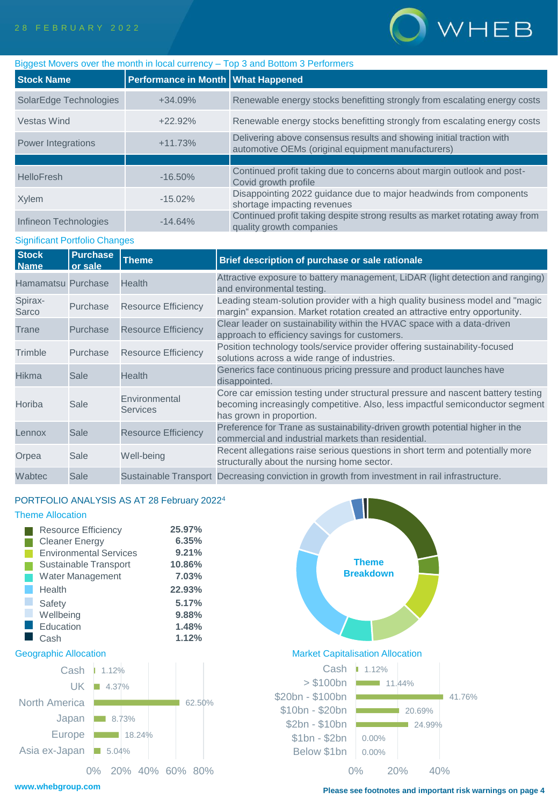

| Biggest Movers over the month in local currency - Top 3 and Bottom 3 Performers |                                    |                                                                                                                            |  |  |  |  |
|---------------------------------------------------------------------------------|------------------------------------|----------------------------------------------------------------------------------------------------------------------------|--|--|--|--|
| <b>Stock Name</b>                                                               | Performance in Month What Happened |                                                                                                                            |  |  |  |  |
| SolarEdge Technologies                                                          | $+34.09%$                          | Renewable energy stocks benefitting strongly from escalating energy costs                                                  |  |  |  |  |
| <b>Vestas Wind</b>                                                              | $+22.92%$                          | Renewable energy stocks benefitting strongly from escalating energy costs                                                  |  |  |  |  |
| Power Integrations                                                              | $+11.73%$                          | Delivering above consensus results and showing initial traction with<br>automotive OEMs (original equipment manufacturers) |  |  |  |  |
|                                                                                 |                                    |                                                                                                                            |  |  |  |  |
| <b>HelloFresh</b>                                                               | $-16.50\%$                         | Continued profit taking due to concerns about margin outlook and post-<br>Covid growth profile                             |  |  |  |  |
| Xylem                                                                           | $-15.02\%$                         | Disappointing 2022 guidance due to major headwinds from components<br>shortage impacting revenues                          |  |  |  |  |
| Infineon Technologies                                                           | $-14.64%$                          | Continued profit taking despite strong results as market rotating away from<br>quality growth companies                    |  |  |  |  |

### Significant Portfolio Changes

| <b>Stock</b><br><b>Name</b> | <b>Purchase</b><br>or sale | <b>Theme</b>                     | Brief description of purchase or sale rationale                                                                                                                                              |
|-----------------------------|----------------------------|----------------------------------|----------------------------------------------------------------------------------------------------------------------------------------------------------------------------------------------|
| Hamamatsu Purchase          |                            | <b>Health</b>                    | Attractive exposure to battery management, LiDAR (light detection and ranging)<br>and environmental testing.                                                                                 |
| Spirax-<br>Sarco            | Purchase                   | <b>Resource Efficiency</b>       | Leading steam-solution provider with a high quality business model and "magic<br>margin" expansion. Market rotation created an attractive entry opportunity.                                 |
| Trane                       | Purchase                   | <b>Resource Efficiency</b>       | Clear leader on sustainability within the HVAC space with a data-driven<br>approach to efficiency savings for customers.                                                                     |
| Trimble                     | Purchase                   | <b>Resource Efficiency</b>       | Position technology tools/service provider offering sustainability-focused<br>solutions across a wide range of industries.                                                                   |
| <b>Hikma</b>                | Sale                       | <b>Health</b>                    | Generics face continuous pricing pressure and product launches have<br>disappointed.                                                                                                         |
| Horiba                      | Sale                       | Environmental<br><b>Services</b> | Core car emission testing under structural pressure and nascent battery testing<br>becoming increasingly competitive. Also, less impactful semiconductor segment<br>has grown in proportion. |
| Lennox                      | <b>Sale</b>                | <b>Resource Efficiency</b>       | Preference for Trane as sustainability-driven growth potential higher in the<br>commercial and industrial markets than residential.                                                          |
| Orpea                       | Sale                       | Well-being                       | Recent allegations raise serious questions in short term and potentially more<br>structurally about the nursing home sector.                                                                 |
| Wabtec                      | Sale                       |                                  | Sustainable Transport Decreasing conviction in growth from investment in rail infrastructure.                                                                                                |

### PORTFOLIO ANALYSIS AS AT 28 February 2022<sup>4</sup>

### Theme Allocation

| <b>Resource Efficiency</b>    | 25.97% |
|-------------------------------|--------|
| <b>Cleaner Energy</b>         | 6.35%  |
| <b>Environmental Services</b> | 9.21%  |
| Sustainable Transport         | 10.86% |
| <b>Water Management</b>       | 7.03%  |
| Health                        | 22.93% |
| Safety                        | 5.17%  |
| Wellbeing                     | 9.88%  |
| Education                     | 1.48%  |
| Cash                          | 1.12%  |



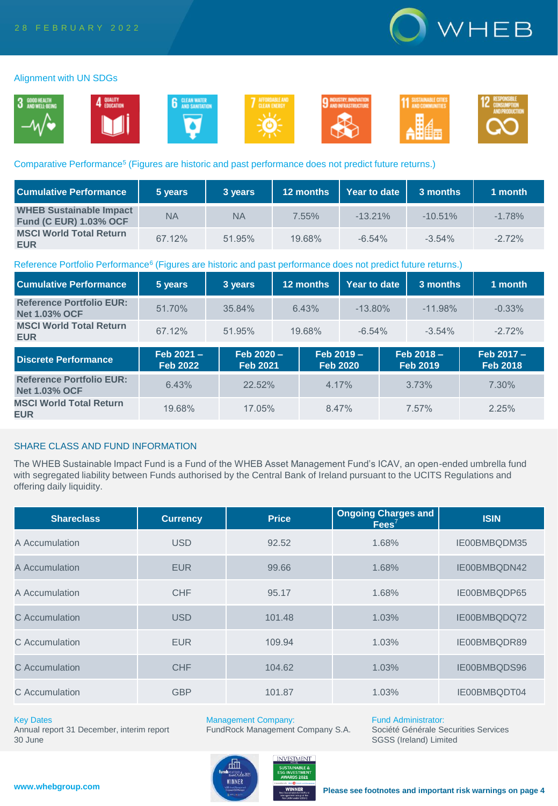

### Alignment with UN SDGs



### Comparative Performance<sup>5</sup> (Figures are historic and past performance does not predict future returns.)

| <b>Cumulative Performance</b>                                   | 5 years   | 3 years   | 12 months | Year to date | 3 months   | 1 month  |
|-----------------------------------------------------------------|-----------|-----------|-----------|--------------|------------|----------|
| <b>WHEB Sustainable Impact</b><br><b>Fund (C EUR) 1.03% OCF</b> | <b>NA</b> | <b>NA</b> | $7.55\%$  | $-13.21\%$   | $-10.51\%$ | $-1.78%$ |
| <b>MSCI World Total Return</b><br><b>EUR</b>                    | 67.12%    | 51.95%    | 19.68%    | $-6.54%$     | $-3.54\%$  | $-2.72%$ |

### Reference Portfolio Performance<sup>6</sup> (Figures are historic and past performance does not predict future returns.)

| <b>Cumulative Performance</b>                           | 5 years                      | 3 years                       | 12 months |                               | Year to date | 3 months                        | 1 month                         |
|---------------------------------------------------------|------------------------------|-------------------------------|-----------|-------------------------------|--------------|---------------------------------|---------------------------------|
| <b>Reference Portfolio EUR:</b><br><b>Net 1.03% OCF</b> | 51.70%                       | 35.84%                        | 6.43%     |                               | $-13.80\%$   | $-11.98\%$                      | $-0.33%$                        |
| <b>MSCI World Total Return</b><br><b>EUR</b>            | 67.12%                       | 51.95%                        | 19.68%    |                               | $-6.54%$     | $-3.54\%$                       | $-2.72%$                        |
| <b>Discrete Performance</b>                             | Feb 2021-<br><b>Feb 2022</b> | Feb 2020 -<br><b>Feb 2021</b> |           | Feb 2019 -<br><b>Feb 2020</b> |              | $Feb 2018 -$<br><b>Feb 2019</b> | $Feb 2017 -$<br><b>Feb 2018</b> |
| <b>Reference Portfolio EUR:</b><br><b>Net 1.03% OCF</b> | 6.43%                        | 22.52%                        |           | 4.17%                         |              | 3.73%                           | 7.30%                           |
| <b>MSCI World Total Return</b><br><b>EUR</b>            | 19.68%                       | 17.05%                        |           | 8.47%                         |              | 7.57%                           | 2.25%                           |

### SHARE CLASS AND FUND INFORMATION

The WHEB Sustainable Impact Fund is a Fund of the WHEB Asset Management Fund's ICAV, an open-ended umbrella fund with segregated liability between Funds authorised by the Central Bank of Ireland pursuant to the UCITS Regulations and offering daily liquidity.

| <b>Shareclass</b> | <b>Currency</b> | <b>Price</b> | <b>Ongoing Charges and</b><br>$Fees^7$ | <b>ISIN</b>  |
|-------------------|-----------------|--------------|----------------------------------------|--------------|
| A Accumulation    | <b>USD</b>      | 92.52        | 1.68%                                  | IE00BMBQDM35 |
| A Accumulation    | <b>EUR</b>      | 99.66        | 1.68%                                  | IE00BMBQDN42 |
| A Accumulation    | <b>CHF</b>      | 95.17        | 1.68%                                  | IE00BMBQDP65 |
| C Accumulation    | <b>USD</b>      | 101.48       | 1.03%                                  | IE00BMBQDQ72 |
| C Accumulation    | <b>EUR</b>      | 109.94       | 1.03%                                  | IE00BMBQDR89 |
| C Accumulation    | <b>CHF</b>      | 104.62       | 1.03%                                  | IE00BMBQDS96 |
| C Accumulation    | <b>GBP</b>      | 101.87       | 1.03%                                  | IE00BMBQDT04 |

### Key Dates

Annual report 31 December, interim report 30 June

Management Company:

FundRock Management Company S.A.



Fund Administrator: Société Générale Securities Services

SGSS (Ireland) Limited